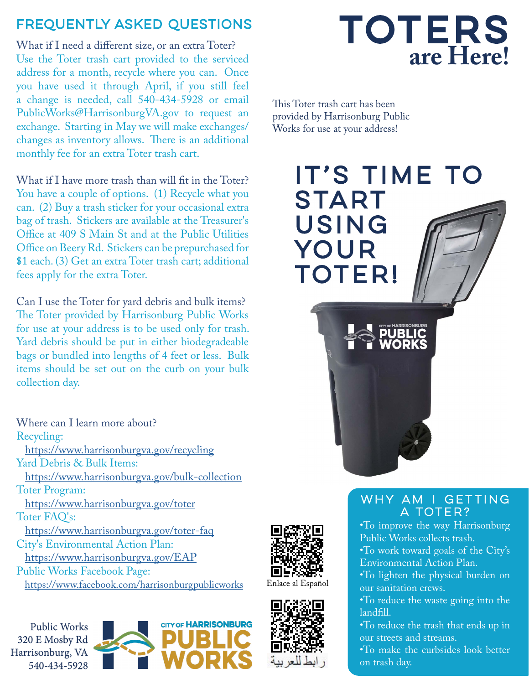### Frequently Asked Questions

What if I need a different size, or an extra Toter? Use the Toter trash cart provided to the serviced address for a month, recycle where you can. Once you have used it through April, if you still feel a change is needed, call 540-434-5928 or email PublicWorks@HarrisonburgVA.gov to request an exchange. Starting in May we will make exchanges/ changes as inventory allows. There is an additional monthly fee for an extra Toter trash cart.

What if I have more trash than will fit in the Toter? You have a couple of options. (1) Recycle what you can. (2) Buy a trash sticker for your occasional extra bag of trash. Stickers are available at the Treasurer's Office at 409 S Main St and at the Public Utilities Office on Beery Rd. Stickers can be prepurchased for \$1 each. (3) Get an extra Toter trash cart; additional fees apply for the extra Toter.

Can I use the Toter for yard debris and bulk items? The Toter provided by Harrisonburg Public Works for use at your address is to be used only for trash. Yard debris should be put in either biodegradeable bags or bundled into lengths of 4 feet or less. Bulk items should be set out on the curb on your bulk collection day.









Enlace al Español



# TOTERS **are Here!**

This Toter trash cart has been provided by Harrisonburg Public Works for use at your address!



#### WHY AM I GETTING A TOTER?

•To improve the way Harrisonburg Public Works collects trash.

•To work toward goals of the City's Environmental Action Plan.

•To lighten the physical burden on our sanitation crews.

•To reduce the waste going into the landfill.

•To reduce the trash that ends up in our streets and streams.

•To make the curbsides look better on trash day.